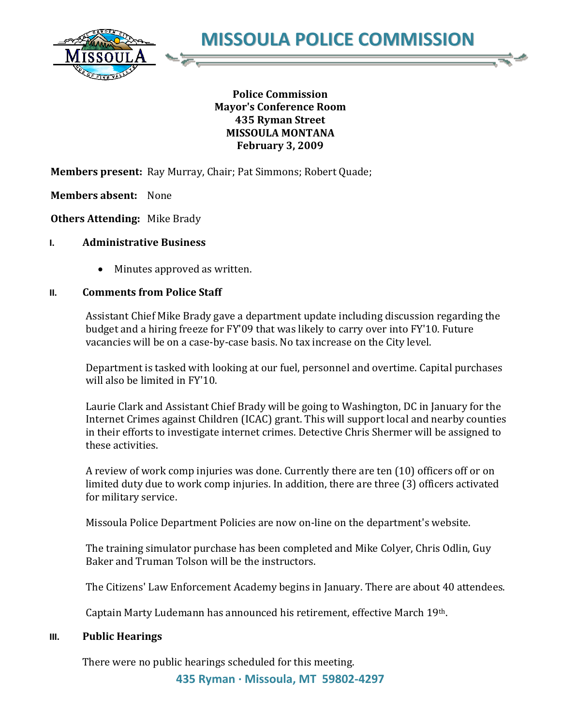

## **Police Commission Mayor's Conference Room 435 Ryman Street MISSOULA MONTANA February 3, 2009**

**Members present:** Ray Murray, Chair; Pat Simmons; Robert Quade;

**Members absent:** None

**Others Attending:** Mike Brady

### **I. Administrative Business**

Minutes approved as written.

## **II. Comments from Police Staff**

Assistant Chief Mike Brady gave a department update including discussion regarding the budget and a hiring freeze for FY'09 that was likely to carry over into FY'10. Future vacancies will be on a case-by-case basis. No tax increase on the City level.

Department is tasked with looking at our fuel, personnel and overtime. Capital purchases will also be limited in FY'10.

Laurie Clark and Assistant Chief Brady will be going to Washington, DC in January for the Internet Crimes against Children (ICAC) grant. This will support local and nearby counties in their efforts to investigate internet crimes. Detective Chris Shermer will be assigned to these activities.

A review of work comp injuries was done. Currently there are ten (10) officers off or on limited duty due to work comp injuries. In addition, there are three (3) officers activated for military service.

Missoula Police Department Policies are now on-line on the department's website.

The training simulator purchase has been completed and Mike Colyer, Chris Odlin, Guy Baker and Truman Tolson will be the instructors.

The Citizens' Law Enforcement Academy begins in January. There are about 40 attendees.

Captain Marty Ludemann has announced his retirement, effective March 19th.

### **III. Public Hearings**

There were no public hearings scheduled for this meeting.

**435 Ryman · Missoula, MT 59802-4297**